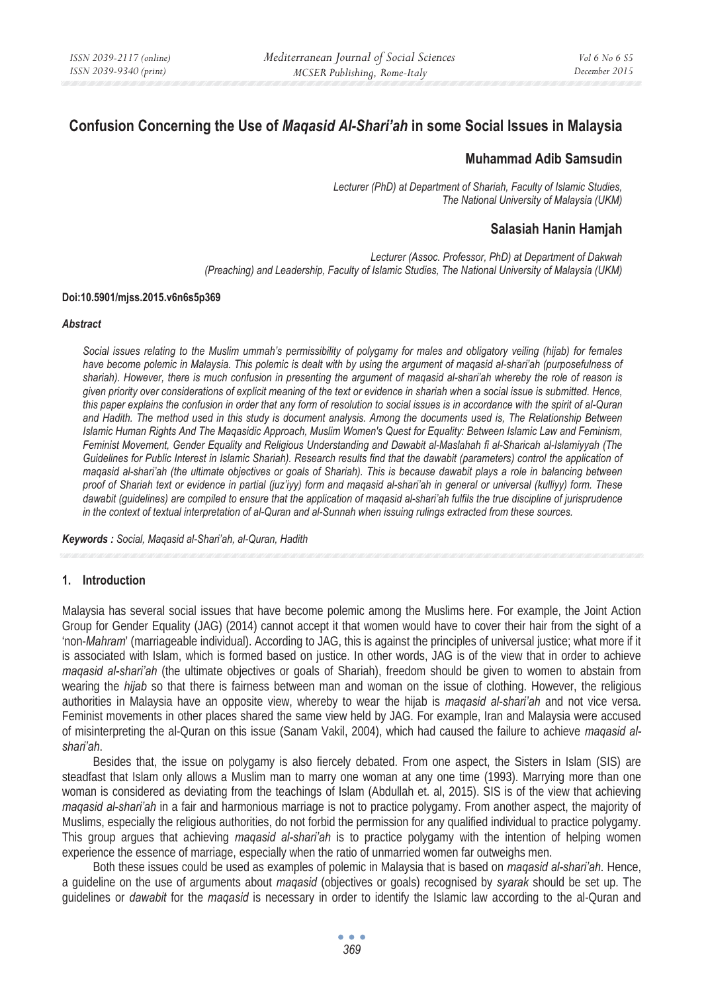# **Confusion Concerning the Use of** *Maqasid Al-Shari'ah* **in some Social Issues in Malaysia**

# **Muhammad Adib Samsudin**

*Lecturer (PhD) at Department of Shariah, Faculty of Islamic Studies, The National University of Malaysia (UKM)* 

# **Salasiah Hanin Hamjah**

*Lecturer (Assoc. Professor, PhD) at Department of Dakwah (Preaching) and Leadership, Faculty of Islamic Studies, The National University of Malaysia (UKM)* 

#### **Doi:10.5901/mjss.2015.v6n6s5p369**

#### *Abstract*

*Social issues relating to the Muslim ummah's permissibility of polygamy for males and obligatory veiling (hijab) for females have become polemic in Malaysia. This polemic is dealt with by using the argument of maqasid al-shari'ah (purposefulness of shariah). However, there is much confusion in presenting the argument of maqasid al-shari'ah whereby the role of reason is given priority over considerations of explicit meaning of the text or evidence in shariah when a social issue is submitted. Hence, this paper explains the confusion in order that any form of resolution to social issues is in accordance with the spirit of al-Quran*  and Hadith. The method used in this study is document analysis. Among the documents used is, The Relationship Between *Islamic Human Rights And The Maqasidic Approach, Muslim Women's Quest for Equality: Between Islamic Law and Feminism, Feminist Movement, Gender Equality and Religious Understanding and Dawabit al-Maslahah fi al-Sharicah al-Islamiyyah (The Guidelines for Public Interest in Islamic Shariah). Research results find that the dawabit (parameters) control the application of maqasid al-shari'ah (the ultimate objectives or goals of Shariah). This is because dawabit plays a role in balancing between proof of Shariah text or evidence in partial (juz'iyy) form and maqasid al-shari'ah in general or universal (kulliyy) form. These dawabit (guidelines) are compiled to ensure that the application of maqasid al-shari'ah fulfils the true discipline of jurisprudence in the context of textual interpretation of al-Quran and al-Sunnah when issuing rulings extracted from these sources.* 

*Keywords : Social, Maqasid al-Shari'ah, al-Quran, Hadith* 

#### **1. Introduction**

Malaysia has several social issues that have become polemic among the Muslims here. For example, the Joint Action Group for Gender Equality (JAG) (2014) cannot accept it that women would have to cover their hair from the sight of a 'non-*Mahram*' (marriageable individual). According to JAG, this is against the principles of universal justice; what more if it is associated with Islam, which is formed based on justice. In other words, JAG is of the view that in order to achieve *maqasid al-shari'ah* (the ultimate objectives or goals of Shariah), freedom should be given to women to abstain from wearing the *hijab* so that there is fairness between man and woman on the issue of clothing. However, the religious authorities in Malaysia have an opposite view, whereby to wear the hijab is *maqasid al-shari'ah* and not vice versa. Feminist movements in other places shared the same view held by JAG. For example, Iran and Malaysia were accused of misinterpreting the al-Quran on this issue (Sanam Vakil, 2004), which had caused the failure to achieve *maqasid alshari'ah*.

Besides that, the issue on polygamy is also fiercely debated. From one aspect, the Sisters in Islam (SIS) are steadfast that Islam only allows a Muslim man to marry one woman at any one time (1993). Marrying more than one woman is considered as deviating from the teachings of Islam (Abdullah et. al, 2015). SIS is of the view that achieving *maqasid al-shari'ah* in a fair and harmonious marriage is not to practice polygamy. From another aspect, the majority of Muslims, especially the religious authorities, do not forbid the permission for any qualified individual to practice polygamy. This group argues that achieving *maqasid al-shari'ah* is to practice polygamy with the intention of helping women experience the essence of marriage, especially when the ratio of unmarried women far outweighs men.

Both these issues could be used as examples of polemic in Malaysia that is based on *maqasid al-shari'ah*. Hence, a guideline on the use of arguments about *maqasid* (objectives or goals) recognised by *syarak* should be set up. The guidelines or *dawabit* for the *maqasid* is necessary in order to identify the Islamic law according to the al-Quran and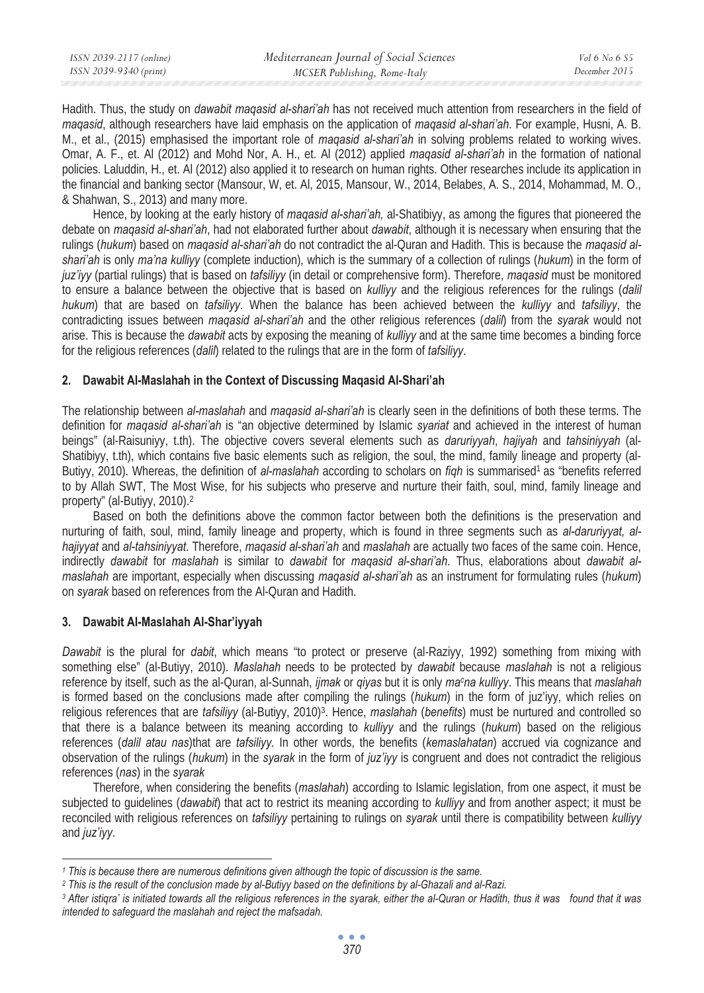| ISSN 2039-2117 (online) | Mediterranean Journal of Social Sciences | Vol 6 No 6 S5 |
|-------------------------|------------------------------------------|---------------|
| ISSN 2039-9340 (print)  | MCSER Publishing, Rome-Italy             | December 2015 |

Hadith. Thus, the study on *dawabit maqasid al-shari'ah* has not received much attention from researchers in the field of *maqasid*, although researchers have laid emphasis on the application of *maqasid al-shari'ah*. For example, Husni, A. B. M., et al., (2015) emphasised the important role of *maqasid al-shari'ah* in solving problems related to working wives. Omar, A. F., et. Al (2012) and Mohd Nor, A. H., et. Al (2012) applied *maqasid al-shari'ah* in the formation of national policies. Laluddin, H., et. Al (2012) also applied it to research on human rights. Other researches include its application in the financial and banking sector (Mansour, W, et. Al, 2015, Mansour, W., 2014, Belabes, A. S., 2014, Mohammad, M. O., & Shahwan, S., 2013) and many more.

Hence, by looking at the early history of *maqasid al-shari'ah,* al-Shatibiyy, as among the figures that pioneered the debate on *maqasid al-shari'ah*, had not elaborated further about *dawabit*, although it is necessary when ensuring that the rulings (*hukum*) based on *maqasid al-shari'ah* do not contradict the al-Quran and Hadith. This is because the *maqasid alshari'ah* is only *ma'na kulliyy* (complete induction)*,* which is the summary of a collection of rulings (*hukum*) in the form of *juz'iyy* (partial rulings) that is based on *tafsiliyy* (in detail or comprehensive form). Therefore, *maqasid* must be monitored to ensure a balance between the objective that is based on *kulliyy* and the religious references for the rulings (*dalil hukum*) that are based on *tafsiliyy*. When the balance has been achieved between the *kulliyy* and *tafsiliyy*, the contradicting issues between *maqasid al-shari'ah* and the other religious references (*dalil*) from the *syarak* would not arise. This is because the *dawabit* acts by exposing the meaning of *kulliyy* and at the same time becomes a binding force for the religious references (*dalil*) related to the rulings that are in the form of *tafsiliyy*.

#### **2. Dawabit Al-Maslahah in the Context of Discussing Maqasid Al-Shari'ah**

The relationship between *al-maslahah* and *maqasid al-shari'ah* is clearly seen in the definitions of both these terms. The definition for *maqasid al-shari'ah* is "an objective determined by Islamic *syariat* and achieved in the interest of human beings" (al-Raisuniyy, t.th). The objective covers several elements such as *daruriyyah*, *hajiyah* and *tahsiniyyah* (al-Shatibiyy, t.th), which contains five basic elements such as religion, the soul, the mind, family lineage and property (al-Butiyy, 2010). Whereas, the definition of *al-maslahah* according to scholars on *figh* is summarised<sup>1</sup> as "benefits referred to by Allah SWT, The Most Wise, for his subjects who preserve and nurture their faith, soul, mind, family lineage and property" (al-Butiyy, 2010).2

Based on both the definitions above the common factor between both the definitions is the preservation and nurturing of faith, soul, mind, family lineage and property, which is found in three segments such as *al-daruriyyat, alhajiyyat* and *al-tahsiniyyat*. Therefore, *maqasid al-shari'ah* and *maslahah* are actually two faces of the same coin. Hence, indirectly *dawabit* for *maslahah* is similar to *dawabit* for *maqasid al-shari'ah*. Thus, elaborations about *dawabit almaslahah* are important, especially when discussing *maqasid al-shari'ah* as an instrument for formulating rules (*hukum*) on *syarak* based on references from the Al-Quran and Hadith.

# **3. Dawabit Al-Maslahah Al-Shar'iyyah**

*Dawabit* is the plural for *dabit*, which means "to protect or preserve (al-Raziyy, 1992) something from mixing with something else" (al-Butiyy, 2010). *Maslahah* needs to be protected by *dawabit* because *maslahah* is not a religious reference by itself, such as the al-Quran, al-Sunnah, *ijmak* or *qiyas* but it is only *mac na kulliyy*. This means that *maslahah* is formed based on the conclusions made after compiling the rulings (*hukum*) in the form of juz'iyy, which relies on religious references that are *tafsiliyy* (al-Butiyy, 2010)3. Hence, *maslahah* (*benefits*) must be nurtured and controlled so that there is a balance between its meaning according to *kulliyy* and the rulings (*hukum*) based on the religious references (*dalil atau nas*)that are *tafsiliyy.* In other words, the benefits (*kemaslahatan*) accrued via cognizance and observation of the rulings (*hukum*) in the *syarak* in the form of *juz'iyy* is congruent and does not contradict the religious references (*nas*) in the *syarak*

Therefore, when considering the benefits (*maslahah*) according to Islamic legislation, from one aspect, it must be subjected to guidelines (*dawabit*) that act to restrict its meaning according to *kulliyy* and from another aspect; it must be reconciled with religious references on *tafsiliyy* pertaining to rulings on *syarak* until there is compatibility between *kulliyy* and *juz'iyy*.

*<sup>1</sup> This is because there are numerous definitions given although the topic of discussion is the same.* 

*<sup>2</sup> This is the result of the conclusion made by al-Butiyy based on the definitions by al-Ghazali and al-Razi.* 

*<sup>3</sup> After istiqra' is initiated towards all the religious references in the syarak, either the al-Quran or Hadith, thus it was found that it was intended to safeguard the maslahah and reject the mafsadah.*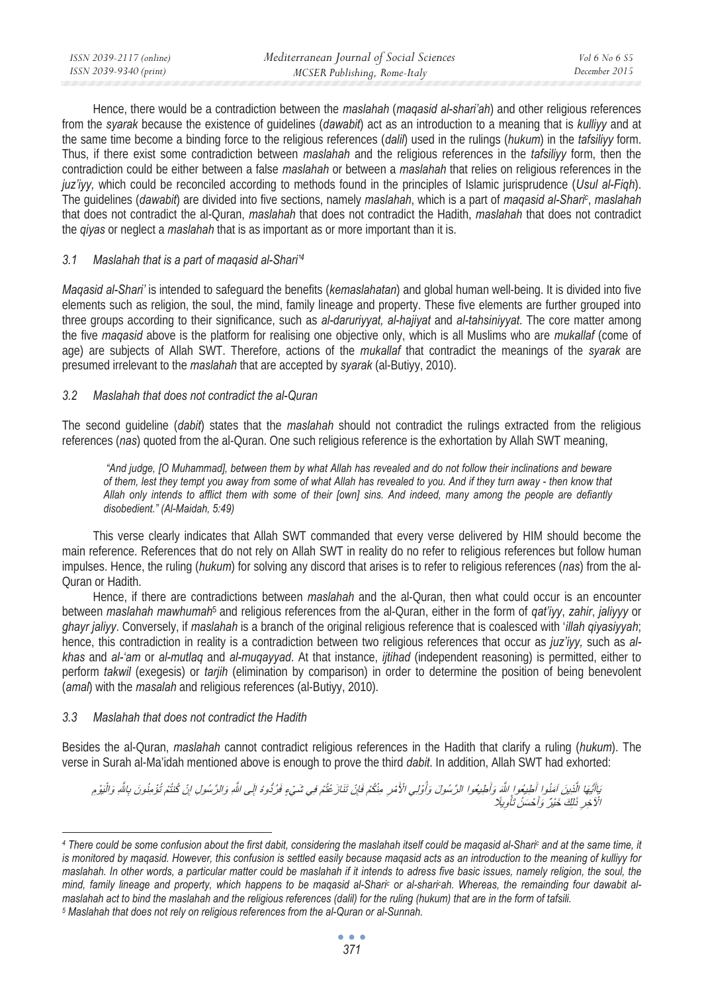Hence, there would be a contradiction between the *maslahah* (*maqasid al-shari'ah*) and other religious references from the *syarak* because the existence of guidelines (*dawabit*) act as an introduction to a meaning that is *kulliyy* and at the same time become a binding force to the religious references (*dalil*) used in the rulings (*hukum*) in the *tafsiliyy* form. Thus, if there exist some contradiction between *maslahah* and the religious references in the *tafsiliyy* form, then the contradiction could be either between a false *maslahah* or between a *maslahah* that relies on religious references in the *juz'ivy*, which could be reconciled according to methods found in the principles of Islamic jurisprudence (Usul al-Figh). The guidelines (*dawabit*) are divided into five sections, namely *maslahah*, which is a part of *maqasid al-Sharic* , *maslahah* that does not contradict the al-Quran, *maslahah* that does not contradict the Hadith, *maslahah* that does not contradict the *qiyas* or neglect a *maslahah* that is as important as or more important than it is.

### *3.1 Maslahah that is a part of maqasid al-Shari'4*

*Maqasid al-Shari'* is intended to safeguard the benefits (*kemaslahatan*) and global human well-being. It is divided into five elements such as religion, the soul, the mind, family lineage and property. These five elements are further grouped into three groups according to their significance, such as *al-daruriyyat, al-hajiyat* and *al-tahsiniyyat*. The core matter among the five *maqasid* above is the platform for realising one objective only, which is all Muslims who are *mukallaf* (come of age) are subjects of Allah SWT. Therefore, actions of the *mukallaf* that contradict the meanings of the *syarak* are presumed irrelevant to the *maslahah* that are accepted by *syarak* (al-Butiyy, 2010).

# *3.2 Maslahah that does not contradict the al-Quran*

The second guideline (*dabit*) states that the *maslahah* should not contradict the rulings extracted from the religious references (*nas*) quoted from the al-Quran. One such religious reference is the exhortation by Allah SWT meaning,

 *"And judge, [O Muhammad], between them by what Allah has revealed and do not follow their inclinations and beware of them, lest they tempt you away from some of what Allah has revealed to you. And if they turn away - then know that Allah only intends to afflict them with some of their [own] sins. And indeed, many among the people are defiantly disobedient." (Al-Maidah, 5:49)* 

This verse clearly indicates that Allah SWT commanded that every verse delivered by HIM should become the main reference. References that do not rely on Allah SWT in reality do no refer to religious references but follow human impulses. Hence, the ruling (*hukum*) for solving any discord that arises is to refer to religious references (*nas*) from the al-Quran or Hadith.

Hence, if there are contradictions between *maslahah* and the al-Quran, then what could occur is an encounter between *maslahah mawhumah*5 and religious references from the al-Quran, either in the form of *qat'iyy*, *zahir*, *jaliyyy* or *ghayr jaliyy*. Conversely, if *maslahah* is a branch of the original religious reference that is coalesced with '*illah qiyasiyyah*; hence, this contradiction in reality is a contradiction between two religious references that occur as *juz'iyy,* such as *alkhas* and *al-'am* or *al-mutlaq* and *al-muqayyad*. At that instance, *ijtihad* (independent reasoning) is permitted, either to perform *takwil* (exegesis) or *tarjih* (elimination by comparison) in order to determine the position of being benevolent (*amal*) with the *masalah* and religious references (al-Butiyy, 2010).

# *3.3 Maslahah that does not contradict the Hadith*

Besides the al-Quran, *maslahah* cannot contradict religious references in the Hadith that clarify a ruling (*hukum*). The verse in Surah al-Ma'idah mentioned above is enough to prove the third *dabit*. In addition, Allah SWT had exhorted:

يَاأَيُّهَا الَّذِينَ آمَنُوا أَطِيعُوا اللَّهُ وَأَطِيعُوا الرَّسُولَ وَأُوْلِي الْأَمْرِ مِنْكُمْ فَإِنْ تَنَازَ عُتُمْ فِي شَيْءٍ فَرُدُّوهُ إِلَى اللَّهِ وَالرَّسُولَ وَأُوْلِي الْأَمْرِ مِنْكُمْ فَإِنْ تَنَازَ عُنْتُم الْآخِرِ ذَٰلِكَ خَيْرٌ وَأَحْسَنُ تَأْوِيلًا

*<sup>4</sup> There could be some confusion about the first dabit, considering the maslahah itself could be maqasid al-Sharic and at the same time, it is monitored by maqasid. However, this confusion is settled easily because maqasid acts as an introduction to the meaning of kulliyy for*  maslahah. In other words, a particular matter could be maslahah if it intends to adress five basic issues, namely religion, the soul, the mind, family lineage and property, which happens to be maqasid al-Shari<sup>c</sup> or al-sharicah. Whereas, the remainding four dawabit al*maslahah act to bind the maslahah and the religious references (dalil) for the ruling (hukum) that are in the form of tafsili.* 

*<sup>5</sup> Maslahah that does not rely on religious references from the al-Quran or al-Sunnah.*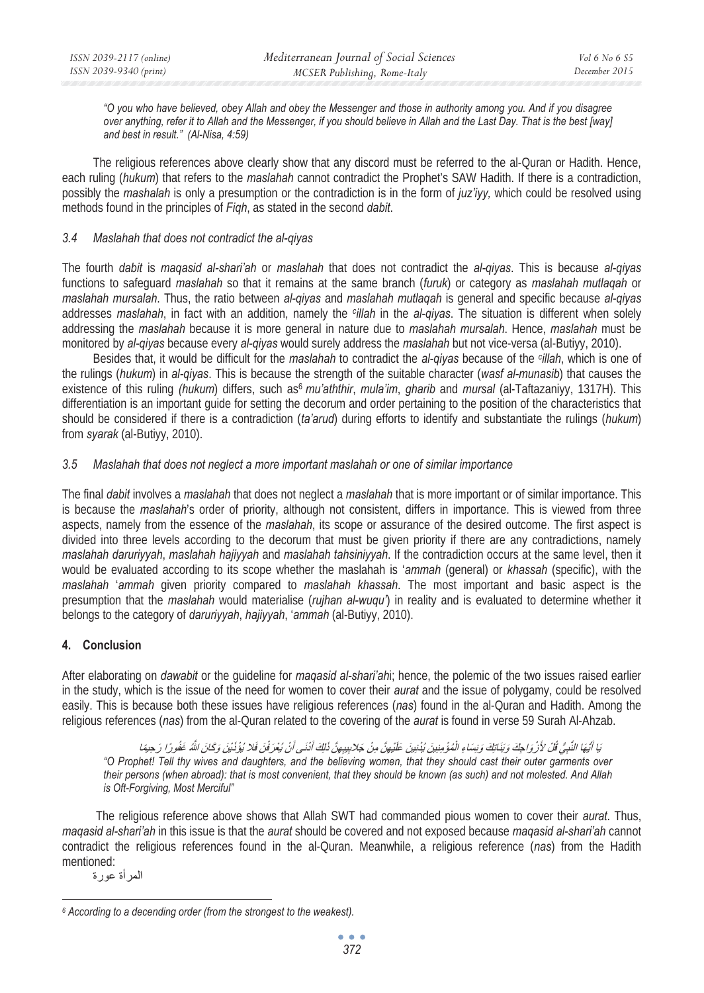*"O you who have believed, obey Allah and obey the Messenger and those in authority among you. And if you disagree over anything, refer it to Allah and the Messenger, if you should believe in Allah and the Last Day. That is the best [way] and best in result." (Al-Nisa, 4:59)* 

The religious references above clearly show that any discord must be referred to the al-Quran or Hadith. Hence, each ruling (*hukum*) that refers to the *maslahah* cannot contradict the Prophet's SAW Hadith. If there is a contradiction, possibly the *mashalah* is only a presumption or the contradiction is in the form of *juz'iyy,* which could be resolved using methods found in the principles of *Fiqh*, as stated in the second *dabit*.

#### *3.4 Maslahah that does not contradict the al-qiyas*

The fourth *dabit* is *maqasid al-shari'ah* or *maslahah* that does not contradict the *al-qiyas*. This is because *al-qiyas* functions to safeguard *maslahah* so that it remains at the same branch (*furuk*) or category as *maslahah mutlaqah* or *maslahah mursalah*. Thus, the ratio between *al-qiyas* and *maslahah mutlaqah* is general and specific because *al-qiyas* addresses *maslahah*, in fact with an addition, namely the *<sup>c</sup> illah* in the *al-qiyas*. The situation is different when solely addressing the *maslahah* because it is more general in nature due to *maslahah mursalah*. Hence, *maslahah* must be monitored by *al-qiyas* because every *al-qiyas* would surely address the *maslahah* but not vice-versa (al-Butiyy, 2010).

Besides that, it would be difficult for the *maslahah* to contradict the *al-qiyas* because of the *<sup>c</sup> illah*, which is one of the rulings (*hukum*) in *al-qiyas*. This is because the strength of the suitable character (*wasf al-munasib*) that causes the existence of this ruling *(hukum*) differs, such as6 *mu'aththir*, *mula'im*, *gharib* and *mursal* (al-Taftazaniyy, 1317H). This differentiation is an important guide for setting the decorum and order pertaining to the position of the characteristics that should be considered if there is a contradiction (*ta'arud*) during efforts to identify and substantiate the rulings (*hukum*) from *syarak* (al-Butiyy, 2010).

### *3.5 Maslahah that does not neglect a more important maslahah or one of similar importance*

The final *dabit* involves a *maslahah* that does not neglect a *maslahah* that is more important or of similar importance. This is because the *maslahah*'s order of priority, although not consistent, differs in importance. This is viewed from three aspects, namely from the essence of the *maslahah*, its scope or assurance of the desired outcome. The first aspect is divided into three levels according to the decorum that must be given priority if there are any contradictions, namely *maslahah daruriyyah*, *maslahah hajiyyah* and *maslahah tahsiniyyah*. If the contradiction occurs at the same level, then it would be evaluated according to its scope whether the maslahah is '*ammah* (general) or *khassah* (specific), with the *maslahah* '*ammah* given priority compared to *maslahah khassah*. The most important and basic aspect is the presumption that the *maslahah* would materialise (*rujhan al-wuqu'*) in reality and is evaluated to determine whether it belongs to the category of *daruriyyah*, *hajiyyah*, '*ammah* (al-Butiyy, 2010).

# **4. Conclusion**

After elaborating on *dawabit* or the guideline for *maqasid al-shari'ah*i; hence, the polemic of the two issues raised earlier in the study, which is the issue of the need for women to cover their *aurat* and the issue of polygamy, could be resolved easily. This is because both these issues have religious references (*nas*) found in the al-Quran and Hadith. Among the religious references (*nas*) from the al-Quran related to the covering of the *aurat* is found in verse 59 Surah Al-Ahzab.

يَا أَيُّهَا النَّبِيُّ قُلْ لأَزْ وَاجِكَ وَبَنَاتِكَ وَنِسَاءِ الْمُؤْمِنِينَ يُدْنِينَ عَلَيْهِنَّ مِنْ جَلابِيبِهِنَّ ذَلِكَ أَنْنَى أَنْ يُعْرَفُنَ فَلا يُؤْنَيْنَ وَكَانَ اللَّهُ غَفُورًا رَحِيمًا *"O Prophet! Tell thy wives and daughters, and the believing women, that they should cast their outer garments over their persons (when abroad): that is most convenient, that they should be known (as such) and not molested. And Allah is Oft-Forgiving, Most Merciful"* 

 The religious reference above shows that Allah SWT had commanded pious women to cover their *aurat*. Thus, *maqasid al-shari'ah* in this issue is that the *aurat* should be covered and not exposed because *maqasid al-shari'ah* cannot contradict the religious references found in the al-Quran. Meanwhile, a religious reference (*nas*) from the Hadith mentioned:

المرأة عورة

*<sup>6</sup> According to a decending order (from the strongest to the weakest).*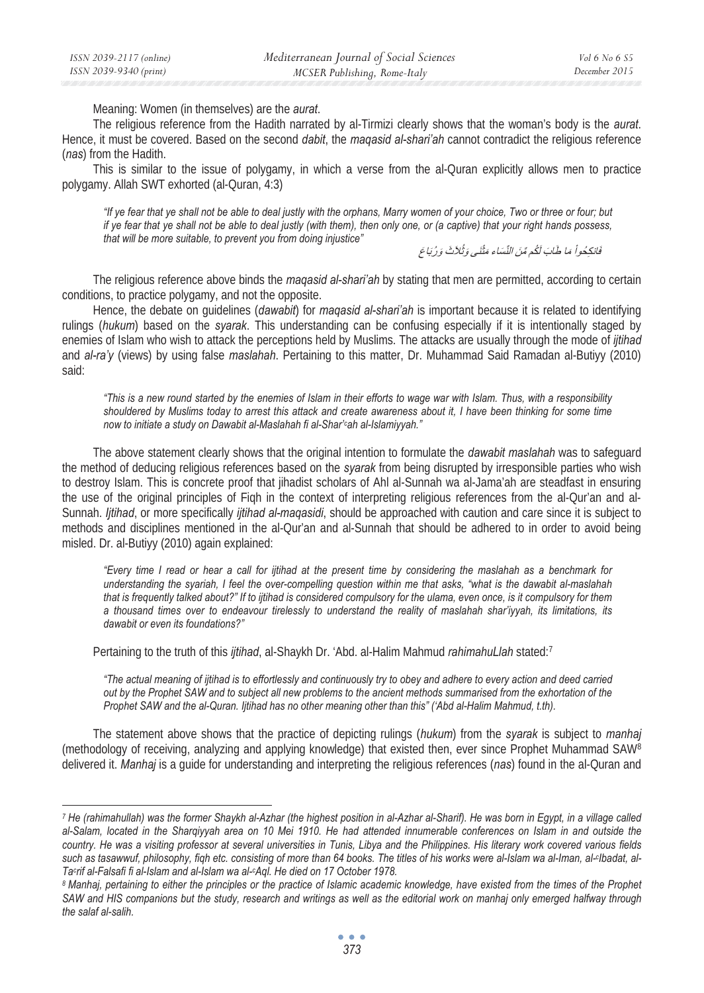Meaning: Women (in themselves) are the *aurat*.

The religious reference from the Hadith narrated by al-Tirmizi clearly shows that the woman's body is the *aurat*. Hence, it must be covered. Based on the second *dabit*, the *maqasid al-shari'ah* cannot contradict the religious reference (*nas*) from the Hadith.

This is similar to the issue of polygamy, in which a verse from the al-Quran explicitly allows men to practice polygamy. Allah SWT exhorted (al-Quran, 4:3)

*"If ye fear that ye shall not be able to deal justly with the orphans, Marry women of your choice, Two or three or four; but if ye fear that ye shall not be able to deal justly (with them), then only one, or (a captive) that your right hands possess, that will be more suitable, to prevent you from doing injustice"* 

فَانكِحُواْ مَا ظَابَ لَكُم مِّنَ النِّسَاء مَثْنَى وَثُلاَثَ وَرُبَاعَ

The religious reference above binds the *maqasid al-shari'ah* by stating that men are permitted, according to certain conditions, to practice polygamy, and not the opposite.

Hence, the debate on guidelines (*dawabit*) for *maqasid al-shari'ah* is important because it is related to identifying rulings (*hukum*) based on the *syarak*. This understanding can be confusing especially if it is intentionally staged by enemies of Islam who wish to attack the perceptions held by Muslims. The attacks are usually through the mode of *ijtihad* and *al-ra'y* (views) by using false *maslahah*. Pertaining to this matter, Dr. Muhammad Said Ramadan al-Butiyy (2010) said:

*"This is a new round started by the enemies of Islam in their efforts to wage war with Islam. Thus, with a responsibility shouldered by Muslims today to arrest this attack and create awareness about it, I have been thinking for some time now to initiate a study on Dawabit al-Maslahah fi al-Shar'cah al-Islamiyyah."* 

The above statement clearly shows that the original intention to formulate the *dawabit maslahah* was to safeguard the method of deducing religious references based on the *syarak* from being disrupted by irresponsible parties who wish to destroy Islam. This is concrete proof that jihadist scholars of Ahl al-Sunnah wa al-Jama'ah are steadfast in ensuring the use of the original principles of Fiqh in the context of interpreting religious references from the al-Qur'an and al-Sunnah. *Ijtihad*, or more specifically *ijtihad al-maqasidi*, should be approached with caution and care since it is subject to methods and disciplines mentioned in the al-Qur'an and al-Sunnah that should be adhered to in order to avoid being misled. Dr. al-Butiyy (2010) again explained:

*"Every time I read or hear a call for ijtihad at the present time by considering the maslahah as a benchmark for understanding the syariah, I feel the over-compelling question within me that asks, "what is the dawabit al-maslahah that is frequently talked about?" If to ijtihad is considered compulsory for the ulama, even once, is it compulsory for them*  a thousand times over to endeavour tirelessly to understand the reality of maslahah shar'iyyah, its limitations, its *dawabit or even its foundations?"* 

Pertaining to the truth of this *ijtihad*, al-Shaykh Dr. 'Abd. al-Halim Mahmud *rahimahuLlah* stated:7

*"The actual meaning of ijtihad is to effortlessly and continuously try to obey and adhere to every action and deed carried out by the Prophet SAW and to subject all new problems to the ancient methods summarised from the exhortation of the Prophet SAW and the al-Quran. Ijtihad has no other meaning other than this" ('Abd al-Halim Mahmud, t.th).* 

The statement above shows that the practice of depicting rulings (*hukum*) from the *syarak* is subject to *manhaj* (methodology of receiving, analyzing and applying knowledge) that existed then, ever since Prophet Muhammad SAW8 delivered it. *Manhaj* is a guide for understanding and interpreting the religious references (*nas*) found in the al-Quran and

*<sup>7</sup> He (rahimahullah) was the former Shaykh al-Azhar (the highest position in al-Azhar al-Sharif). He was born in Egypt, in a village called al-Salam, located in the Sharqiyyah area on 10 Mei 1910. He had attended innumerable conferences on Islam in and outside the country. He was a visiting professor at several universities in Tunis, Libya and the Philippines. His literary work covered various fields such as tasawwuf, philosophy, fiqh etc. consisting of more than 64 books. The titles of his works were al-Islam wa al-Iman, al-cIbadat, al-*Ta°rif al-Falsafi fi al-Islam and al-Islam wa al-ʿAql. He died on 17 October 1978.<br>8 Manhaj, pertaining to either the principles or the practice of Islamic academic knowledge, have existed from the times of the Prophet

*SAW and HIS companions but the study, research and writings as well as the editorial work on manhaj only emerged halfway through the salaf al-salih.*